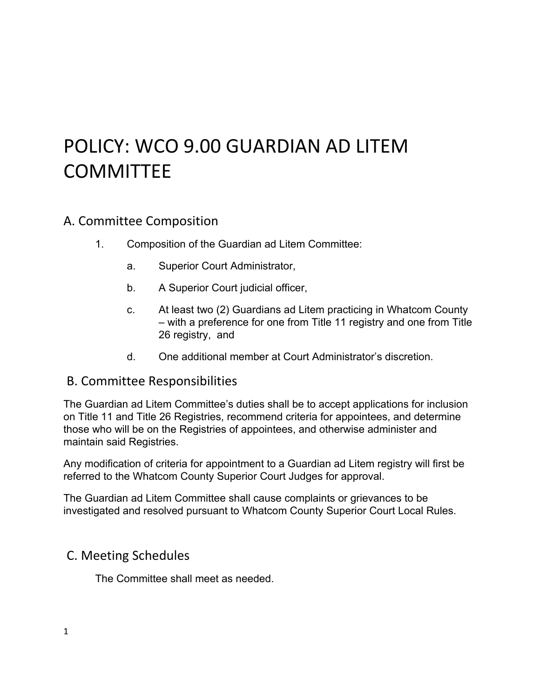# POLICY: WCO 9.00 GUARDIAN AD LITEM COMMITTEE

### A. Committee Composition

- 1. Composition of the Guardian ad Litem Committee:
	- a. Superior Court Administrator,
	- b. A Superior Court judicial officer,
	- c. At least two (2) Guardians ad Litem practicing in Whatcom County – with a preference for one from Title 11 registry and one from Title 26 registry, and
	- d. One additional member at Court Administrator's discretion.

#### B. Committee Responsibilities

The Guardian ad Litem Committee's duties shall be to accept applications for inclusion on Title 11 and Title 26 Registries, recommend criteria for appointees, and determine those who will be on the Registries of appointees, and otherwise administer and maintain said Registries.

Any modification of criteria for appointment to a Guardian ad Litem registry will first be referred to the Whatcom County Superior Court Judges for approval.

The Guardian ad Litem Committee shall cause complaints or grievances to be investigated and resolved pursuant to Whatcom County Superior Court Local Rules.

### C. Meeting Schedules

The Committee shall meet as needed.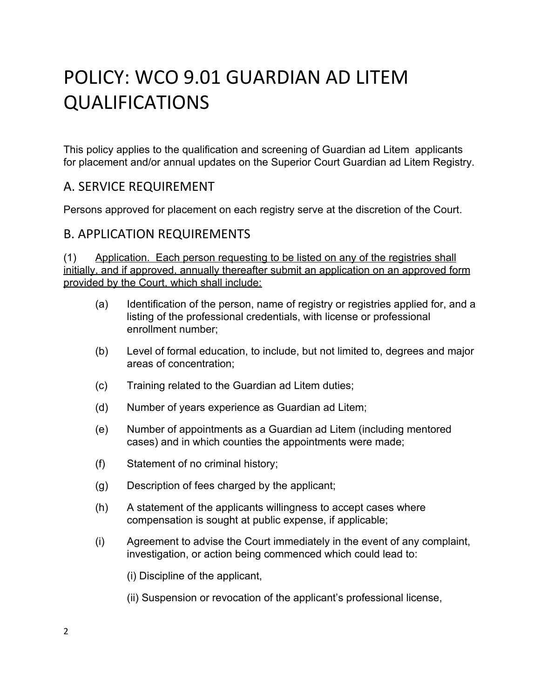# POLICY: WCO 9.01 GUARDIAN AD LITEM QUALIFICATIONS

This policy applies to the qualification and screening of Guardian ad Litem applicants for placement and/or annual updates on the Superior Court Guardian ad Litem Registry.

#### A. SERVICE REQUIREMENT

Persons approved for placement on each registry serve at the discretion of the Court.

#### B. APPLICATION REQUIREMENTS

(1) Application. Each person requesting to be listed on any of the registries shall initially, and if approved, annually thereafter submit an application on an approved form provided by the Court, which shall include:

- (a) Identification of the person, name of registry or registries applied for, and a listing of the professional credentials, with license or professional enrollment number;
- (b) Level of formal education, to include, but not limited to, degrees and major areas of concentration;
- (c) Training related to the Guardian ad Litem duties;
- (d) Number of years experience as Guardian ad Litem;
- (e) Number of appointments as a Guardian ad Litem (including mentored cases) and in which counties the appointments were made;
- (f) Statement of no criminal history;
- (g) Description of fees charged by the applicant;
- (h) A statement of the applicants willingness to accept cases where compensation is sought at public expense, if applicable;
- (i) Agreement to advise the Court immediately in the event of any complaint, investigation, or action being commenced which could lead to:
	- (i) Discipline of the applicant,
	- (ii) Suspension or revocation of the applicant's professional license,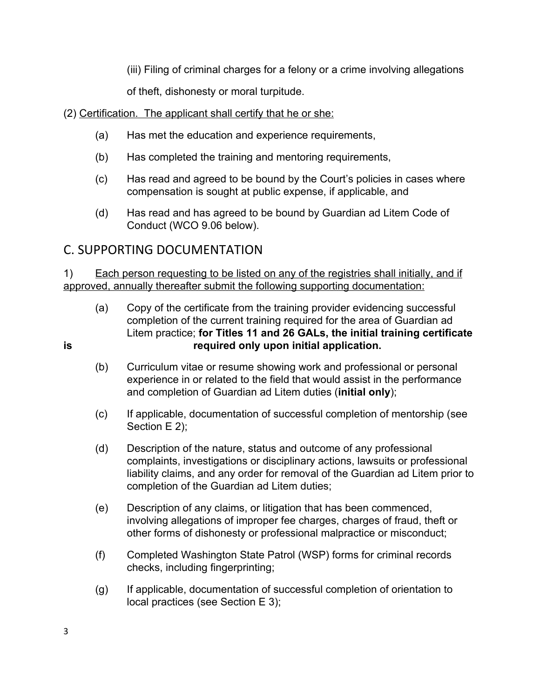(iii) Filing of criminal charges for a felony or a crime involving allegations

of theft, dishonesty or moral turpitude.

(2) Certification. The applicant shall certify that he or she:

- (a) Has met the education and experience requirements,
- (b) Has completed the training and mentoring requirements,
- (c) Has read and agreed to be bound by the Court's policies in cases where compensation is sought at public expense, if applicable, and
- (d) Has read and has agreed to be bound by Guardian ad Litem Code of Conduct (WCO 9.06 below).

## C. SUPPORTING DOCUMENTATION

1) Each person requesting to be listed on any of the registries shall initially, and if approved, annually thereafter submit the following supporting documentation:

- (a) Copy of the certificate from the training provider evidencing successful completion of the current training required for the area of Guardian ad Litem practice; **for Titles 11 and 26 GALs, the initial training certificate is required only upon initial application.**
	- (b) Curriculum vitae or resume showing work and professional or personal experience in or related to the field that would assist in the performance and completion of Guardian ad Litem duties (**initial only**);
	- (c) If applicable, documentation of successful completion of mentorship (see Section E 2);
	- (d) Description of the nature, status and outcome of any professional complaints, investigations or disciplinary actions, lawsuits or professional liability claims, and any order for removal of the Guardian ad Litem prior to completion of the Guardian ad Litem duties;
	- (e) Description of any claims, or litigation that has been commenced, involving allegations of improper fee charges, charges of fraud, theft or other forms of dishonesty or professional malpractice or misconduct;
	- (f) Completed Washington State Patrol (WSP) forms for criminal records checks, including fingerprinting;
	- (g) If applicable, documentation of successful completion of orientation to local practices (see Section E 3);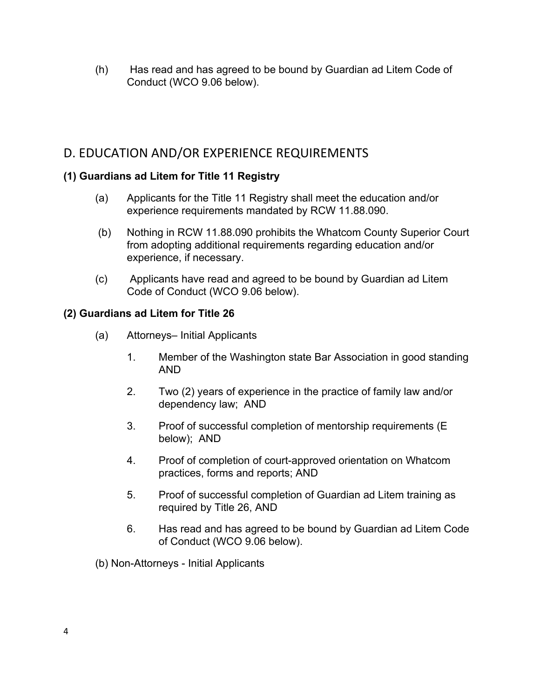(h) Has read and has agreed to be bound by Guardian ad Litem Code of Conduct (WCO 9.06 below).

### D. EDUCATION AND/OR EXPERIENCE REQUIREMENTS

#### **(1) Guardians ad Litem for Title 11 Registry**

- (a) Applicants for the Title 11 Registry shall meet the education and/or experience requirements mandated by RCW 11.88.090.
- (b) Nothing in RCW 11.88.090 prohibits the Whatcom County Superior Court from adopting additional requirements regarding education and/or experience, if necessary.
- (c) Applicants have read and agreed to be bound by Guardian ad Litem Code of Conduct (WCO 9.06 below).

#### **(2) Guardians ad Litem for Title 26**

- (a) Attorneys– Initial Applicants
	- 1. Member of the Washington state Bar Association in good standing AND
	- 2. Two (2) years of experience in the practice of family law and/or dependency law; AND
	- 3. Proof of successful completion of mentorship requirements (E below); AND
	- 4. Proof of completion of court-approved orientation on Whatcom practices, forms and reports; AND
	- 5. Proof of successful completion of Guardian ad Litem training as required by Title 26, AND
	- 6. Has read and has agreed to be bound by Guardian ad Litem Code of Conduct (WCO 9.06 below).
- (b) Non-Attorneys Initial Applicants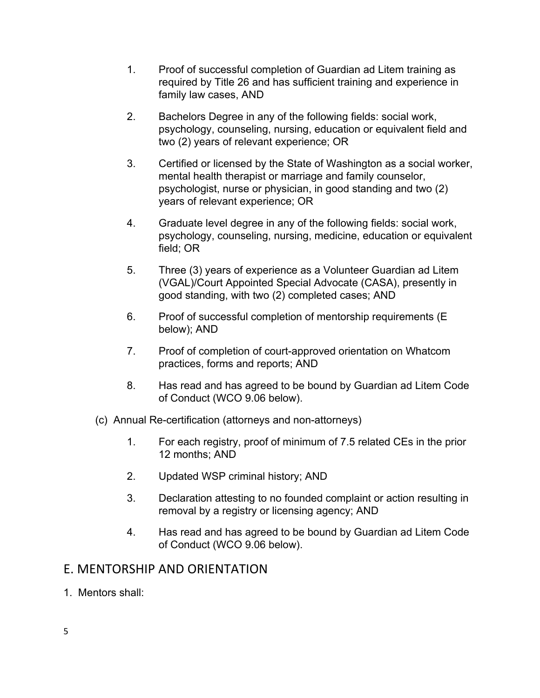- 1. Proof of successful completion of Guardian ad Litem training as required by Title 26 and has sufficient training and experience in family law cases, AND
- 2. Bachelors Degree in any of the following fields: social work, psychology, counseling, nursing, education or equivalent field and two (2) years of relevant experience; OR
- 3. Certified or licensed by the State of Washington as a social worker, mental health therapist or marriage and family counselor, psychologist, nurse or physician, in good standing and two (2) years of relevant experience; OR
- 4. Graduate level degree in any of the following fields: social work, psychology, counseling, nursing, medicine, education or equivalent field; OR
- 5. Three (3) years of experience as a Volunteer Guardian ad Litem (VGAL)/Court Appointed Special Advocate (CASA), presently in good standing, with two (2) completed cases; AND
- 6. Proof of successful completion of mentorship requirements (E below); AND
- 7. Proof of completion of court-approved orientation on Whatcom practices, forms and reports; AND
- 8. Has read and has agreed to be bound by Guardian ad Litem Code of Conduct (WCO 9.06 below).
- (c) Annual Re-certification (attorneys and non-attorneys)
	- 1. For each registry, proof of minimum of 7.5 related CEs in the prior 12 months; AND
	- 2. Updated WSP criminal history; AND
	- 3. Declaration attesting to no founded complaint or action resulting in removal by a registry or licensing agency; AND
	- 4. Has read and has agreed to be bound by Guardian ad Litem Code of Conduct (WCO 9.06 below).

### E. MENTORSHIP AND ORIENTATION

1. Mentors shall: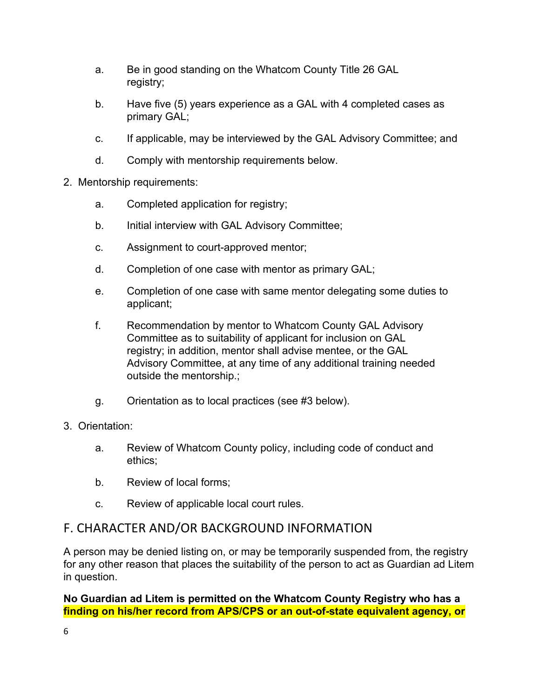- a. Be in good standing on the Whatcom County Title 26 GAL registry;
- b. Have five (5) years experience as a GAL with 4 completed cases as primary GAL;
- c. If applicable, may be interviewed by the GAL Advisory Committee; and
- d. Comply with mentorship requirements below.
- 2. Mentorship requirements:
	- a. Completed application for registry;
	- b. Initial interview with GAL Advisory Committee;
	- c. Assignment to court-approved mentor;
	- d. Completion of one case with mentor as primary GAL;
	- e. Completion of one case with same mentor delegating some duties to applicant;
	- f. Recommendation by mentor to Whatcom County GAL Advisory Committee as to suitability of applicant for inclusion on GAL registry; in addition, mentor shall advise mentee, or the GAL Advisory Committee, at any time of any additional training needed outside the mentorship.;
	- g. Orientation as to local practices (see #3 below).
- 3. Orientation:
	- a. Review of Whatcom County policy, including code of conduct and ethics;
	- b. Review of local forms;
	- c. Review of applicable local court rules.

### F. CHARACTER AND/OR BACKGROUND INFORMATION

A person may be denied listing on, or may be temporarily suspended from, the registry for any other reason that places the suitability of the person to act as Guardian ad Litem in question.

**No Guardian ad Litem is permitted on the Whatcom County Registry who has a finding on his/her record from APS/CPS or an out-of-state equivalent agency, or**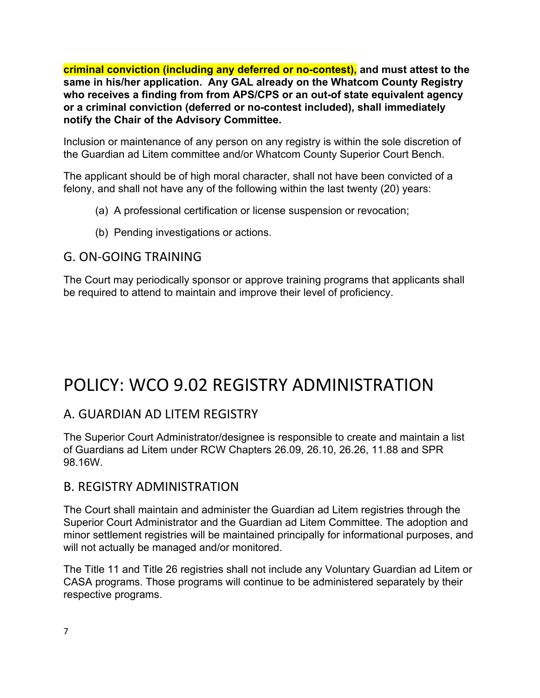**criminal conviction (including any deferred or no-contest), and must attest to the same in his/her application. Any GAL already on the Whatcom County Registry who receives a finding from from APS/CPS or an out-of state equivalent agency or a criminal conviction (deferred or no-contest included), shall immediately notify the Chair of the Advisory Committee.**

Inclusion or maintenance of any person on any registry is within the sole discretion of the Guardian ad Litem committee and/or Whatcom County Superior Court Bench.

The applicant should be of high moral character, shall not have been convicted of a felony, and shall not have any of the following within the last twenty (20) years:

- (a) A professional certification or license suspension or revocation;
- (b) Pending investigations or actions.

### G. ON-GOING TRAINING

The Court may periodically sponsor or approve training programs that applicants shall be required to attend to maintain and improve their level of proficiency.

## POLICY: WCO 9.02 REGISTRY ADMINISTRATION

### A. GUARDIAN AD LITEM REGISTRY

The Superior Court Administrator/designee is responsible to create and maintain a list of Guardians ad Litem under RCW Chapters 26.09, 26.10, 26.26, 11.88 and SPR 98.16W.

#### B. REGISTRY ADMINISTRATION

The Court shall maintain and administer the Guardian ad Litem registries through the Superior Court Administrator and the Guardian ad Litem Committee. The adoption and minor settlement registries will be maintained principally for informational purposes, and will not actually be managed and/or monitored.

The Title 11 and Title 26 registries shall not include any Voluntary Guardian ad Litem or CASA programs. Those programs will continue to be administered separately by their respective programs.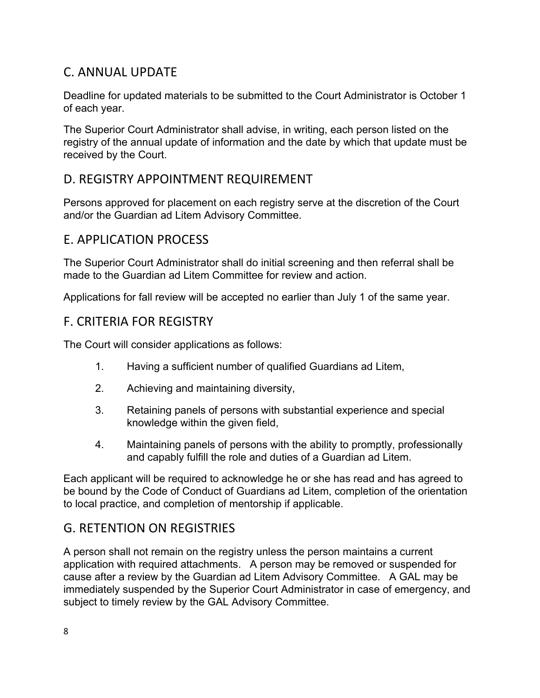### C. ANNUAL UPDATE

Deadline for updated materials to be submitted to the Court Administrator is October 1 of each year.

The Superior Court Administrator shall advise, in writing, each person listed on the registry of the annual update of information and the date by which that update must be received by the Court.

### D. REGISTRY APPOINTMENT REQUIREMENT

Persons approved for placement on each registry serve at the discretion of the Court and/or the Guardian ad Litem Advisory Committee.

### E. APPLICATION PROCESS

The Superior Court Administrator shall do initial screening and then referral shall be made to the Guardian ad Litem Committee for review and action.

Applications for fall review will be accepted no earlier than July 1 of the same year.

#### F. CRITERIA FOR REGISTRY

The Court will consider applications as follows:

- 1. Having a sufficient number of qualified Guardians ad Litem,
- 2. Achieving and maintaining diversity,
- 3. Retaining panels of persons with substantial experience and special knowledge within the given field,
- 4. Maintaining panels of persons with the ability to promptly, professionally and capably fulfill the role and duties of a Guardian ad Litem.

Each applicant will be required to acknowledge he or she has read and has agreed to be bound by the Code of Conduct of Guardians ad Litem, completion of the orientation to local practice, and completion of mentorship if applicable.

### G. RETENTION ON REGISTRIES

A person shall not remain on the registry unless the person maintains a current application with required attachments. A person may be removed or suspended for cause after a review by the Guardian ad Litem Advisory Committee. A GAL may be immediately suspended by the Superior Court Administrator in case of emergency, and subject to timely review by the GAL Advisory Committee.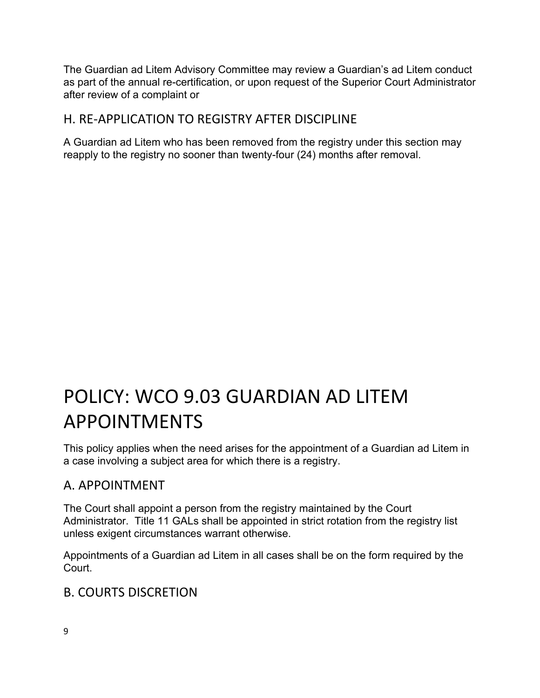The Guardian ad Litem Advisory Committee may review a Guardian's ad Litem conduct as part of the annual re-certification, or upon request of the Superior Court Administrator after review of a complaint or

## H. RE-APPLICATION TO REGISTRY AFTER DISCIPLINE

A Guardian ad Litem who has been removed from the registry under this section may reapply to the registry no sooner than twenty-four (24) months after removal.

# POLICY: WCO 9.03 GUARDIAN AD LITEM APPOINTMENTS

This policy applies when the need arises for the appointment of a Guardian ad Litem in a case involving a subject area for which there is a registry.

## A. APPOINTMENT

The Court shall appoint a person from the registry maintained by the Court Administrator. Title 11 GALs shall be appointed in strict rotation from the registry list unless exigent circumstances warrant otherwise.

Appointments of a Guardian ad Litem in all cases shall be on the form required by the Court.

## B. COURTS DISCRETION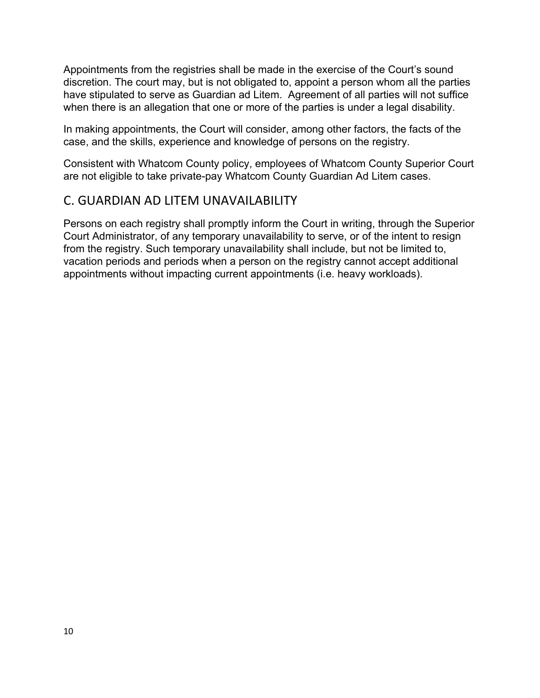Appointments from the registries shall be made in the exercise of the Court's sound discretion. The court may, but is not obligated to, appoint a person whom all the parties have stipulated to serve as Guardian ad Litem. Agreement of all parties will not suffice when there is an allegation that one or more of the parties is under a legal disability.

In making appointments, the Court will consider, among other factors, the facts of the case, and the skills, experience and knowledge of persons on the registry.

Consistent with Whatcom County policy, employees of Whatcom County Superior Court are not eligible to take private-pay Whatcom County Guardian Ad Litem cases.

### C. GUARDIAN AD LITEM UNAVAILABILITY

Persons on each registry shall promptly inform the Court in writing, through the Superior Court Administrator, of any temporary unavailability to serve, or of the intent to resign from the registry. Such temporary unavailability shall include, but not be limited to, vacation periods and periods when a person on the registry cannot accept additional appointments without impacting current appointments (i.e. heavy workloads).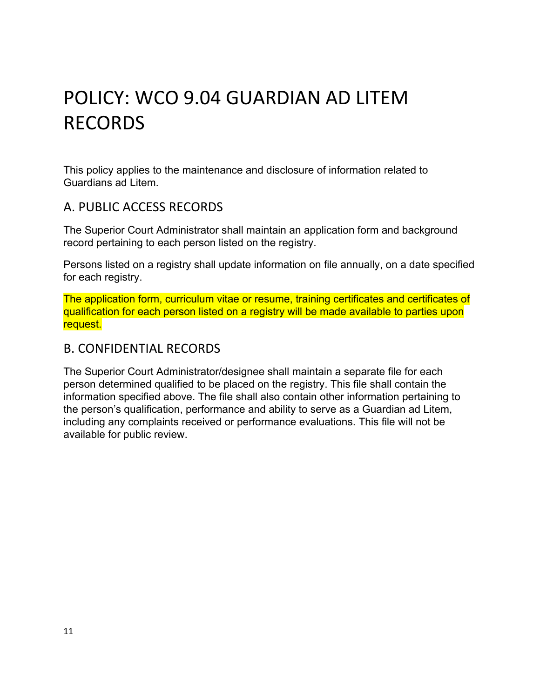# POLICY: WCO 9.04 GUARDIAN AD LITEM RECORDS

This policy applies to the maintenance and disclosure of information related to Guardians ad Litem.

#### A. PUBLIC ACCESS RECORDS

The Superior Court Administrator shall maintain an application form and background record pertaining to each person listed on the registry.

Persons listed on a registry shall update information on file annually, on a date specified for each registry.

The application form, curriculum vitae or resume, training certificates and certificates of qualification for each person listed on a registry will be made available to parties upon request.

#### B. CONFIDENTIAL RECORDS

The Superior Court Administrator/designee shall maintain a separate file for each person determined qualified to be placed on the registry. This file shall contain the information specified above. The file shall also contain other information pertaining to the person's qualification, performance and ability to serve as a Guardian ad Litem, including any complaints received or performance evaluations. This file will not be available for public review.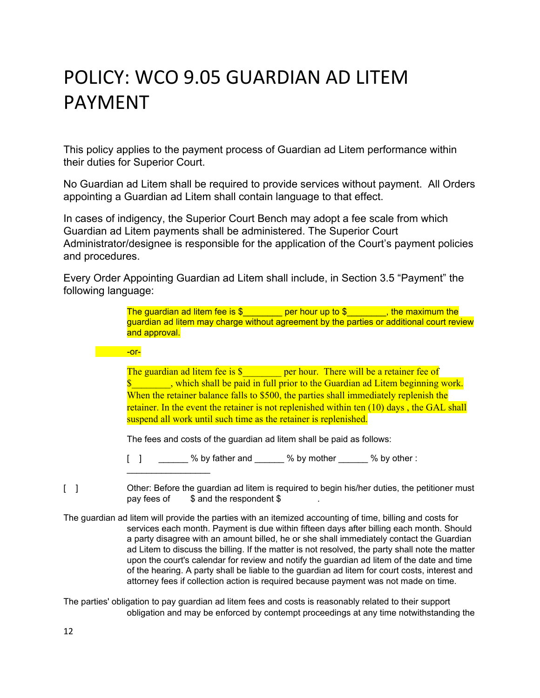# POLICY: WCO 9.05 GUARDIAN AD LITEM PAYMENT

This policy applies to the payment process of Guardian ad Litem performance within their duties for Superior Court.

No Guardian ad Litem shall be required to provide services without payment. All Orders appointing a Guardian ad Litem shall contain language to that effect.

In cases of indigency, the Superior Court Bench may adopt a fee scale from which Guardian ad Litem payments shall be administered. The Superior Court Administrator/designee is responsible for the application of the Court's payment policies and procedures.

Every Order Appointing Guardian ad Litem shall include, in Section 3.5 "Payment" the following language:

> The guardian ad litem fee is  $\frac{1}{2}$  \_\_\_\_\_\_\_\_ per hour up to  $\frac{1}{2}$  \_\_\_\_\_\_\_, the maximum the guardian ad litem may charge without agreement by the parties or additional court review and approval.

#### **de la contra de la contra de la contra de la contra de la contra de la contra de la contra de la contra de la**

 $\_$ 

The guardian ad litem fee is \$ **\_\_\_\_\_\_\_\_\_\_** per hour. There will be a retainer fee of \$\_\_\_\_\_\_\_\_, which shall be paid in full prior to the Guardian ad Litem beginning work. When the retainer balance falls to \$500, the parties shall immediately replenish the retainer. In the event the retainer is not replenished within ten (10) days, the GAL shall suspend all work until such time as the retainer is replenished.

The fees and costs of the guardian ad litem shall be paid as follows:

[ ] \_\_\_\_\_\_ % by father and \_\_\_\_\_ % by mother \_\_\_\_\_ % by other :

[ ] Other: Before the guardian ad litem is required to begin his/her duties, the petitioner must pay fees of  $\$\$  and the respondent  $\$$ 

The guardian ad litem will provide the parties with an itemized accounting of time, billing and costs for services each month. Payment is due within fifteen days after billing each month. Should a party disagree with an amount billed, he or she shall immediately contact the Guardian ad Litem to discuss the billing. If the matter is not resolved, the party shall note the matter upon the court's calendar for review and notify the guardian ad litem of the date and time of the hearing. A party shall be liable to the guardian ad litem for court costs, interest and attorney fees if collection action is required because payment was not made on time.

The parties' obligation to pay guardian ad litem fees and costs is reasonably related to their support obligation and may be enforced by contempt proceedings at any time notwithstanding the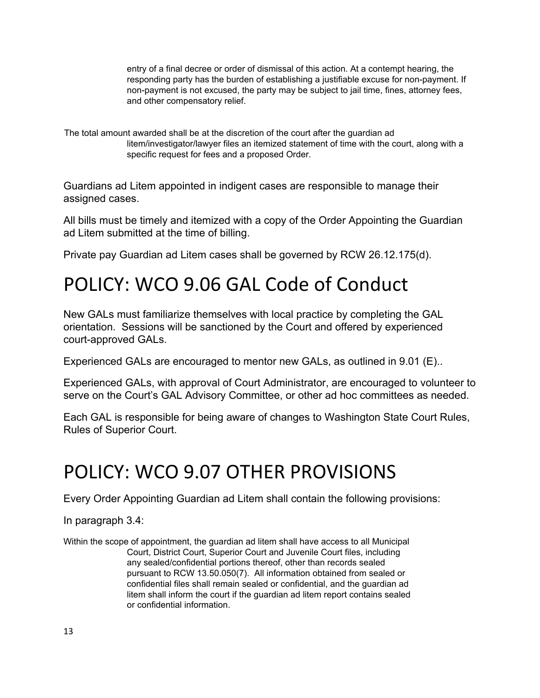entry of a final decree or order of dismissal of this action. At a contempt hearing, the responding party has the burden of establishing a justifiable excuse for non-payment. If non-payment is not excused, the party may be subject to jail time, fines, attorney fees, and other compensatory relief.

The total amount awarded shall be at the discretion of the court after the guardian ad litem/investigator/lawyer files an itemized statement of time with the court, along with a specific request for fees and a proposed Order.

Guardians ad Litem appointed in indigent cases are responsible to manage their assigned cases.

All bills must be timely and itemized with a copy of the Order Appointing the Guardian ad Litem submitted at the time of billing.

Private pay Guardian ad Litem cases shall be governed by RCW 26.12.175(d).

# POLICY: WCO 9.06 GAL Code of Conduct

New GALs must familiarize themselves with local practice by completing the GAL orientation. Sessions will be sanctioned by the Court and offered by experienced court-approved GALs.

Experienced GALs are encouraged to mentor new GALs, as outlined in 9.01 (E)..

Experienced GALs, with approval of Court Administrator, are encouraged to volunteer to serve on the Court's GAL Advisory Committee, or other ad hoc committees as needed.

Each GAL is responsible for being aware of changes to Washington State Court Rules, Rules of Superior Court.

# POLICY: WCO 9.07 OTHER PROVISIONS

Every Order Appointing Guardian ad Litem shall contain the following provisions:

In paragraph 3.4:

Within the scope of appointment, the guardian ad litem shall have access to all Municipal Court, District Court, Superior Court and Juvenile Court files, including any sealed/confidential portions thereof, other than records sealed pursuant to RCW 13.50.050(7). All information obtained from sealed or confidential files shall remain sealed or confidential, and the guardian ad litem shall inform the court if the guardian ad litem report contains sealed or confidential information.